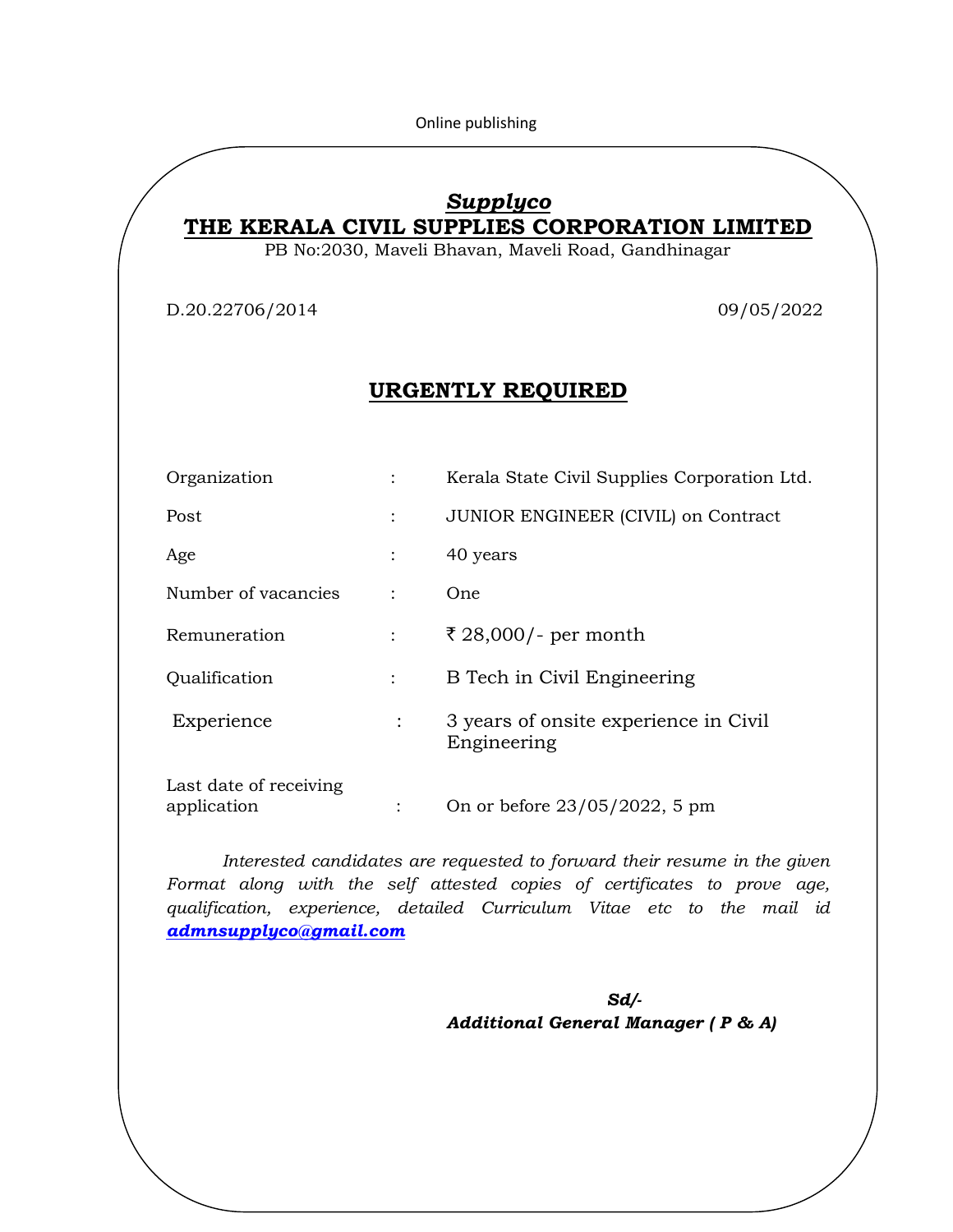Online publishing

# *Supplyco*

**THE KERALA CIVIL SUPPLIES CORPORATION LIMITED**

PB No:2030, Maveli Bhavan, Maveli Road, Gandhinagar

D.20.22706/2014 09/05/2022

# **URGENTLY REQUIRED**

| Organization                          |                | Kerala State Civil Supplies Corporation Ltd.         |  |  |
|---------------------------------------|----------------|------------------------------------------------------|--|--|
| Post                                  | $\ddot{\cdot}$ | JUNIOR ENGINEER (CIVIL) on Contract                  |  |  |
| Age                                   |                | 40 years                                             |  |  |
| Number of vacancies                   | $\ddot{\cdot}$ | One                                                  |  |  |
| Remuneration                          |                | ₹ 28,000/- per month                                 |  |  |
| Qualification                         | $\ddot{\cdot}$ | B Tech in Civil Engineering                          |  |  |
| Experience                            | $\ddot{\cdot}$ | 3 years of onsite experience in Civil<br>Engineering |  |  |
| Last date of receiving<br>application |                | On or before 23/05/2022, 5 pm                        |  |  |

*Interested candidates are requested to forward their resume in the given Format along with the self attested copies of certificates to prove age, qualification, experience, detailed Curriculum Vitae etc to the mail id [admnsupplyco@gmail.com](mailto:admnsupplyco@gmail.com)*

*Sd/-* Sample 2008 **Sd** *Additional General Manager ( P & A)*